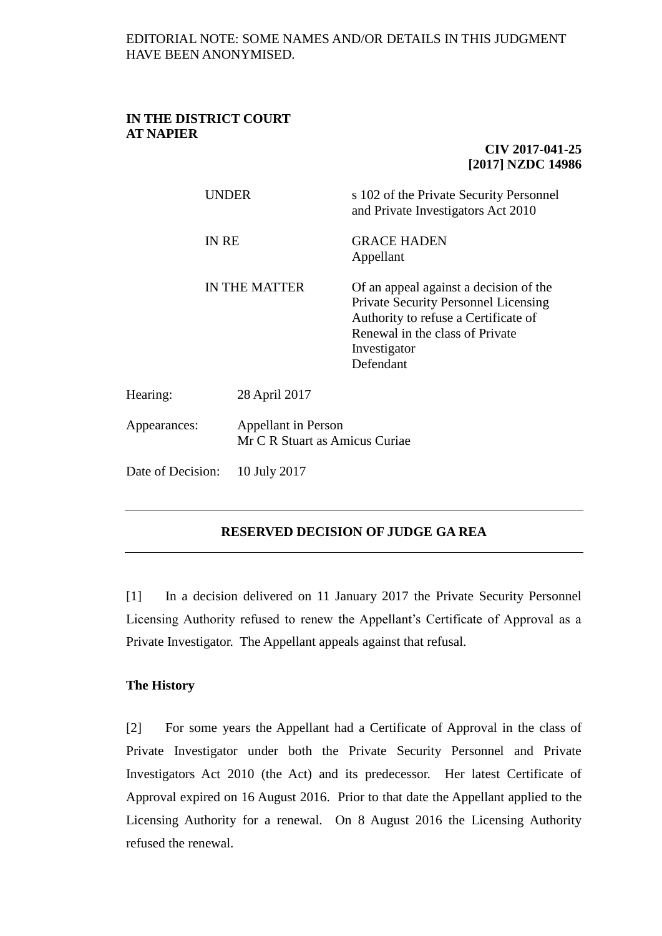### **IN THE DISTRICT COURT AT NAPIER**

# **CIV 2017-041-25 [2017] NZDC 14986**

|                   | UNDER                                                 | s 102 of the Private Security Personnel<br>and Private Investigators Act 2010                                                                                                                 |
|-------------------|-------------------------------------------------------|-----------------------------------------------------------------------------------------------------------------------------------------------------------------------------------------------|
|                   | <b>IN RE</b>                                          | <b>GRACE HADEN</b><br>Appellant                                                                                                                                                               |
|                   | <b>IN THE MATTER</b>                                  | Of an appeal against a decision of the<br><b>Private Security Personnel Licensing</b><br>Authority to refuse a Certificate of<br>Renewal in the class of Private<br>Investigator<br>Defendant |
| Hearing:          | 28 April 2017                                         |                                                                                                                                                                                               |
| Appearances:      | Appellant in Person<br>Mr C R Stuart as Amicus Curiae |                                                                                                                                                                                               |
| Date of Decision: | 10 July 2017                                          |                                                                                                                                                                                               |
|                   |                                                       |                                                                                                                                                                                               |

# **RESERVED DECISION OF JUDGE GA REA**

[1] In a decision delivered on 11 January 2017 the Private Security Personnel Licensing Authority refused to renew the Appellant's Certificate of Approval as a Private Investigator. The Appellant appeals against that refusal.

## **The History**

[2] For some years the Appellant had a Certificate of Approval in the class of Private Investigator under both the Private Security Personnel and Private Investigators Act 2010 (the Act) and its predecessor. Her latest Certificate of Approval expired on 16 August 2016. Prior to that date the Appellant applied to the Licensing Authority for a renewal. On 8 August 2016 the Licensing Authority refused the renewal.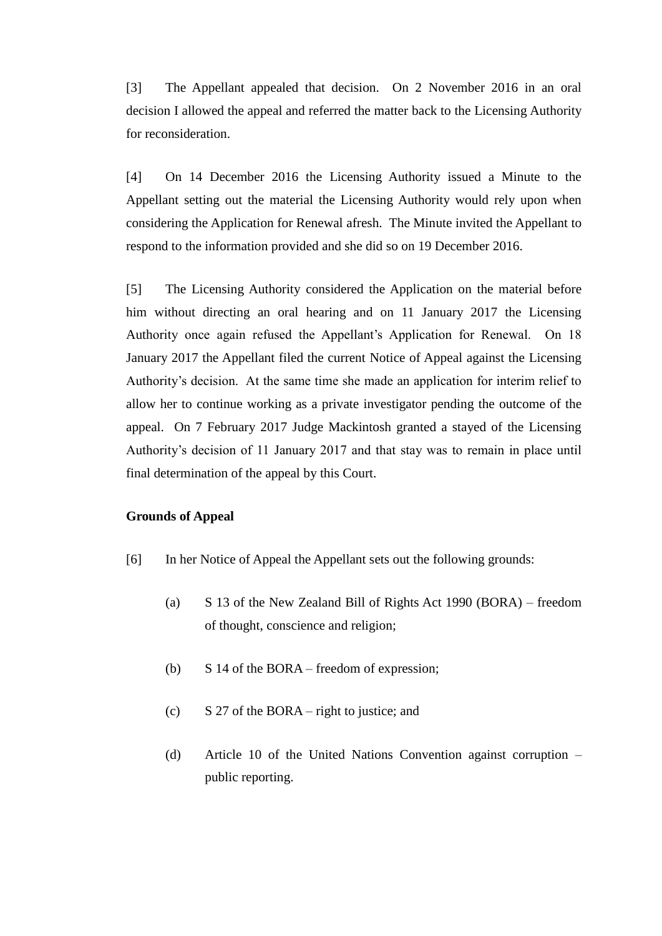[3] The Appellant appealed that decision. On 2 November 2016 in an oral decision I allowed the appeal and referred the matter back to the Licensing Authority for reconsideration.

[4] On 14 December 2016 the Licensing Authority issued a Minute to the Appellant setting out the material the Licensing Authority would rely upon when considering the Application for Renewal afresh. The Minute invited the Appellant to respond to the information provided and she did so on 19 December 2016.

[5] The Licensing Authority considered the Application on the material before him without directing an oral hearing and on 11 January 2017 the Licensing Authority once again refused the Appellant's Application for Renewal. On 18 January 2017 the Appellant filed the current Notice of Appeal against the Licensing Authority's decision. At the same time she made an application for interim relief to allow her to continue working as a private investigator pending the outcome of the appeal. On 7 February 2017 Judge Mackintosh granted a stayed of the Licensing Authority's decision of 11 January 2017 and that stay was to remain in place until final determination of the appeal by this Court.

### **Grounds of Appeal**

- [6] In her Notice of Appeal the Appellant sets out the following grounds:
	- (a) S 13 of the New Zealand Bill of Rights Act 1990 (BORA) freedom of thought, conscience and religion;
	- (b) S 14 of the BORA freedom of expression;
	- (c) S 27 of the BORA right to justice; and
	- (d) Article 10 of the United Nations Convention against corruption public reporting.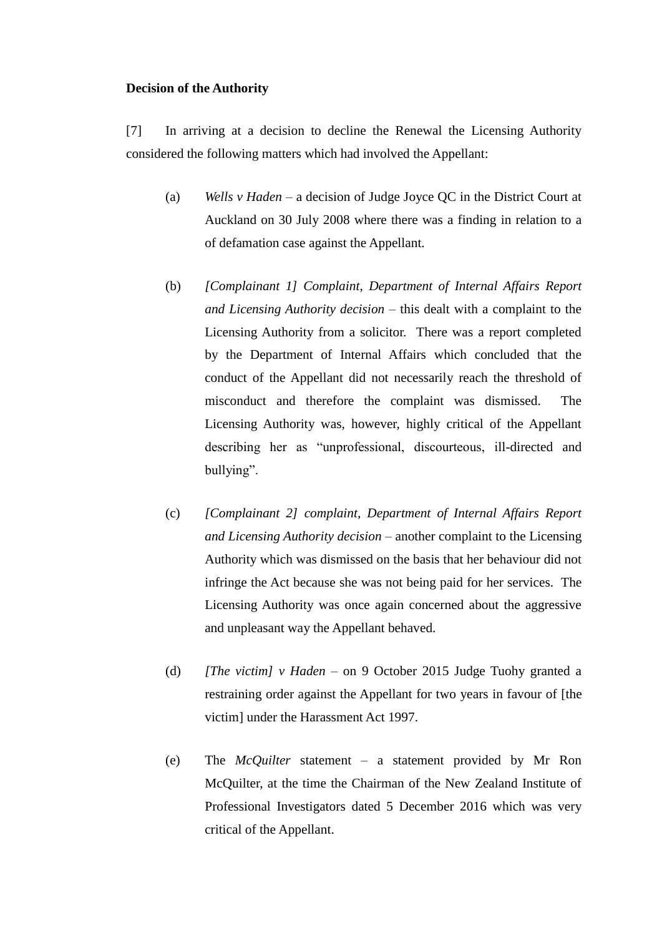### **Decision of the Authority**

[7] In arriving at a decision to decline the Renewal the Licensing Authority considered the following matters which had involved the Appellant:

- (a) *Wells v Haden* a decision of Judge Joyce QC in the District Court at Auckland on 30 July 2008 where there was a finding in relation to a of defamation case against the Appellant.
- (b) *[Complainant 1] Complaint, Department of Internal Affairs Report and Licensing Authority decision* – this dealt with a complaint to the Licensing Authority from a solicitor. There was a report completed by the Department of Internal Affairs which concluded that the conduct of the Appellant did not necessarily reach the threshold of misconduct and therefore the complaint was dismissed. The Licensing Authority was, however, highly critical of the Appellant describing her as "unprofessional, discourteous, ill-directed and bullying".
- (c) *[Complainant 2] complaint, Department of Internal Affairs Report and Licensing Authority decision* – another complaint to the Licensing Authority which was dismissed on the basis that her behaviour did not infringe the Act because she was not being paid for her services. The Licensing Authority was once again concerned about the aggressive and unpleasant way the Appellant behaved.
- (d) *[The victim] v Haden* on 9 October 2015 Judge Tuohy granted a restraining order against the Appellant for two years in favour of [the victim] under the Harassment Act 1997.
- (e) The *McQuilter* statement a statement provided by Mr Ron McQuilter, at the time the Chairman of the New Zealand Institute of Professional Investigators dated 5 December 2016 which was very critical of the Appellant.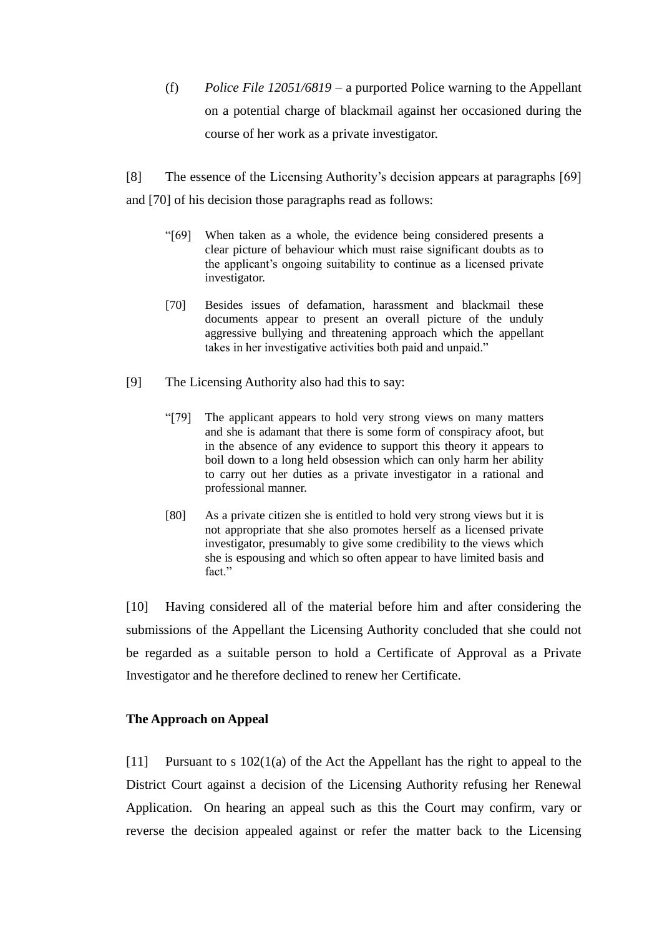(f) *Police File 12051/6819* – a purported Police warning to the Appellant on a potential charge of blackmail against her occasioned during the course of her work as a private investigator.

[8] The essence of the Licensing Authority's decision appears at paragraphs [69] and [70] of his decision those paragraphs read as follows:

- "[69] When taken as a whole, the evidence being considered presents a clear picture of behaviour which must raise significant doubts as to the applicant's ongoing suitability to continue as a licensed private investigator.
- [70] Besides issues of defamation, harassment and blackmail these documents appear to present an overall picture of the unduly aggressive bullying and threatening approach which the appellant takes in her investigative activities both paid and unpaid."
- [9] The Licensing Authority also had this to say:
	- "[79] The applicant appears to hold very strong views on many matters and she is adamant that there is some form of conspiracy afoot, but in the absence of any evidence to support this theory it appears to boil down to a long held obsession which can only harm her ability to carry out her duties as a private investigator in a rational and professional manner.
	- [80] As a private citizen she is entitled to hold very strong views but it is not appropriate that she also promotes herself as a licensed private investigator, presumably to give some credibility to the views which she is espousing and which so often appear to have limited basis and fact"

[10] Having considered all of the material before him and after considering the submissions of the Appellant the Licensing Authority concluded that she could not be regarded as a suitable person to hold a Certificate of Approval as a Private Investigator and he therefore declined to renew her Certificate.

## **The Approach on Appeal**

[11] Pursuant to s 102(1(a) of the Act the Appellant has the right to appeal to the District Court against a decision of the Licensing Authority refusing her Renewal Application. On hearing an appeal such as this the Court may confirm, vary or reverse the decision appealed against or refer the matter back to the Licensing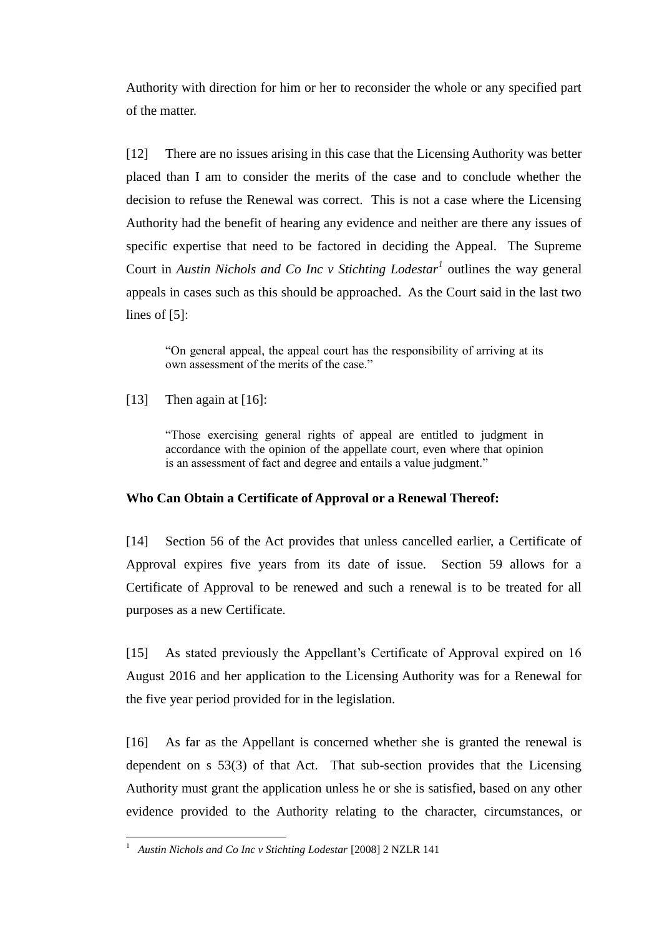Authority with direction for him or her to reconsider the whole or any specified part of the matter.

[12] There are no issues arising in this case that the Licensing Authority was better placed than I am to consider the merits of the case and to conclude whether the decision to refuse the Renewal was correct. This is not a case where the Licensing Authority had the benefit of hearing any evidence and neither are there any issues of specific expertise that need to be factored in deciding the Appeal. The Supreme Court in *Austin Nichols and Co Inc v Stichting Lodestar<sup>1</sup>* outlines the way general appeals in cases such as this should be approached. As the Court said in the last two lines of [5]:

"On general appeal, the appeal court has the responsibility of arriving at its own assessment of the merits of the case."

[13] Then again at [16]:

"Those exercising general rights of appeal are entitled to judgment in accordance with the opinion of the appellate court, even where that opinion is an assessment of fact and degree and entails a value judgment."

### **Who Can Obtain a Certificate of Approval or a Renewal Thereof:**

[14] Section 56 of the Act provides that unless cancelled earlier, a Certificate of Approval expires five years from its date of issue. Section 59 allows for a Certificate of Approval to be renewed and such a renewal is to be treated for all purposes as a new Certificate.

[15] As stated previously the Appellant's Certificate of Approval expired on 16 August 2016 and her application to the Licensing Authority was for a Renewal for the five year period provided for in the legislation.

[16] As far as the Appellant is concerned whether she is granted the renewal is dependent on s 53(3) of that Act. That sub-section provides that the Licensing Authority must grant the application unless he or she is satisfied, based on any other evidence provided to the Authority relating to the character, circumstances, or

 $\frac{1}{1}$ *Austin Nichols and Co Inc v Stichting Lodestar* [2008] 2 NZLR 141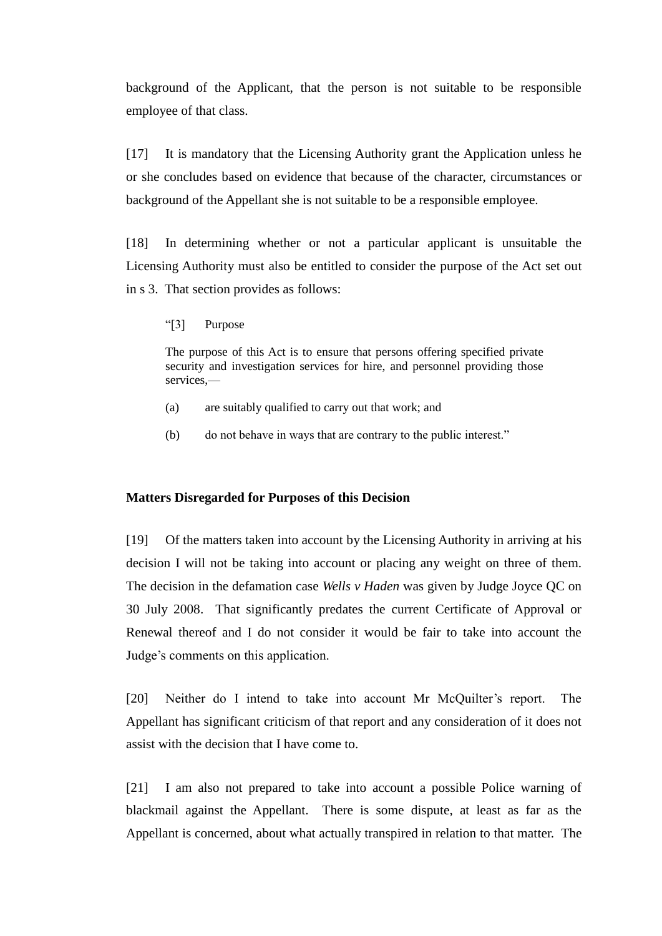background of the Applicant, that the person is not suitable to be responsible employee of that class.

[17] It is mandatory that the Licensing Authority grant the Application unless he or she concludes based on evidence that because of the character, circumstances or background of the Appellant she is not suitable to be a responsible employee.

[18] In determining whether or not a particular applicant is unsuitable the Licensing Authority must also be entitled to consider the purpose of the Act set out in s 3. That section provides as follows:

"[3] Purpose

The purpose of this Act is to ensure that persons offering specified private security and investigation services for hire, and personnel providing those services,—

- (a) are suitably qualified to carry out that work; and
- (b) do not behave in ways that are contrary to the public interest."

### **Matters Disregarded for Purposes of this Decision**

[19] Of the matters taken into account by the Licensing Authority in arriving at his decision I will not be taking into account or placing any weight on three of them. The decision in the defamation case *Wells v Haden* was given by Judge Joyce QC on 30 July 2008. That significantly predates the current Certificate of Approval or Renewal thereof and I do not consider it would be fair to take into account the Judge's comments on this application.

[20] Neither do I intend to take into account Mr McQuilter's report. The Appellant has significant criticism of that report and any consideration of it does not assist with the decision that I have come to.

[21] I am also not prepared to take into account a possible Police warning of blackmail against the Appellant. There is some dispute, at least as far as the Appellant is concerned, about what actually transpired in relation to that matter. The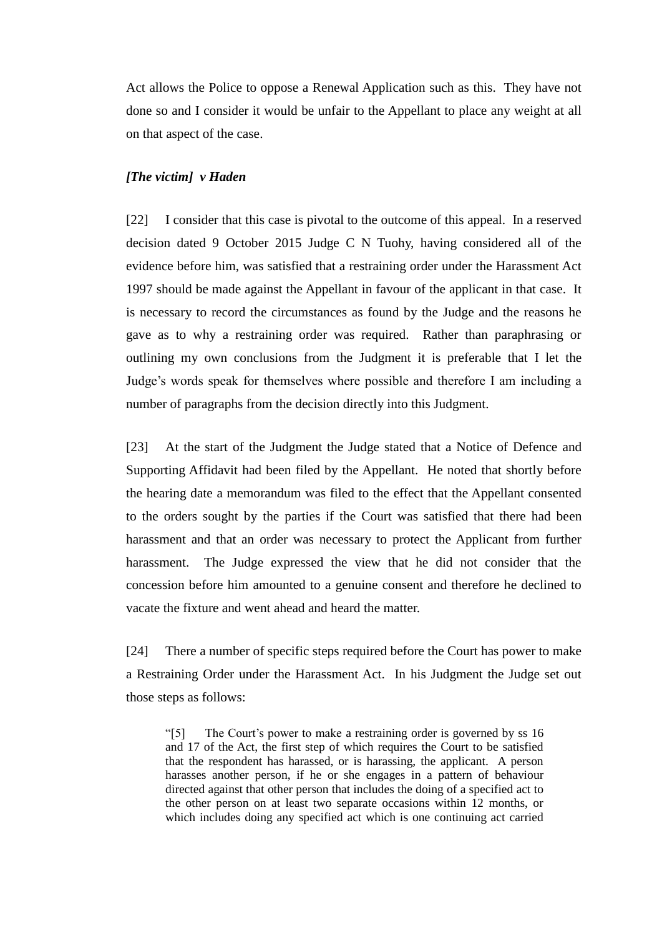Act allows the Police to oppose a Renewal Application such as this. They have not done so and I consider it would be unfair to the Appellant to place any weight at all on that aspect of the case.

### *[The victim] v Haden*

[22] I consider that this case is pivotal to the outcome of this appeal. In a reserved decision dated 9 October 2015 Judge C N Tuohy, having considered all of the evidence before him, was satisfied that a restraining order under the Harassment Act 1997 should be made against the Appellant in favour of the applicant in that case. It is necessary to record the circumstances as found by the Judge and the reasons he gave as to why a restraining order was required. Rather than paraphrasing or outlining my own conclusions from the Judgment it is preferable that I let the Judge's words speak for themselves where possible and therefore I am including a number of paragraphs from the decision directly into this Judgment.

[23] At the start of the Judgment the Judge stated that a Notice of Defence and Supporting Affidavit had been filed by the Appellant. He noted that shortly before the hearing date a memorandum was filed to the effect that the Appellant consented to the orders sought by the parties if the Court was satisfied that there had been harassment and that an order was necessary to protect the Applicant from further harassment. The Judge expressed the view that he did not consider that the concession before him amounted to a genuine consent and therefore he declined to vacate the fixture and went ahead and heard the matter.

[24] There a number of specific steps required before the Court has power to make a Restraining Order under the Harassment Act. In his Judgment the Judge set out those steps as follows:

"[5] The Court's power to make a restraining order is governed by ss 16 and 17 of the Act, the first step of which requires the Court to be satisfied that the respondent has harassed, or is harassing, the applicant. A person harasses another person, if he or she engages in a pattern of behaviour directed against that other person that includes the doing of a specified act to the other person on at least two separate occasions within 12 months, or which includes doing any specified act which is one continuing act carried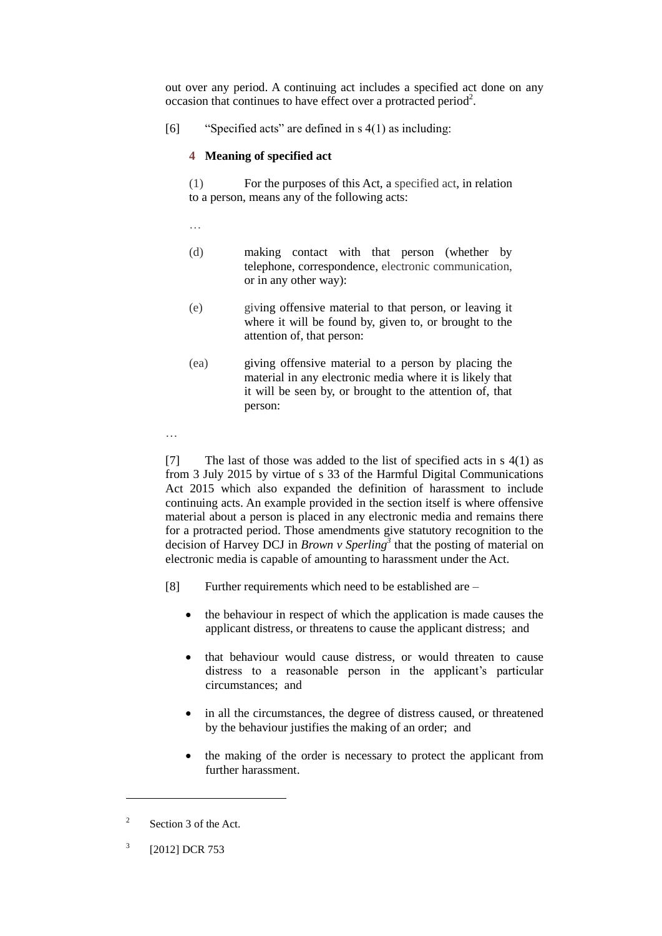out over any period. A continuing act includes a specified act done on any occasion that continues to have effect over a protracted period<sup>2</sup>.

[6] "Specified acts" are defined in s 4(1) as including:

### **4 Meaning of specified act**

(1) For the purposes of this Act, a specified act, in relation to a person, means any of the following acts:

…

- (d) making contact with that person (whether by telephone, correspondence, electronic communication, or in any other way):
- (e) giving offensive material to that person, or leaving it where it will be found by, given to, or brought to the attention of, that person:
- (ea) giving offensive material to a person by placing the material in any electronic media where it is likely that it will be seen by, or brought to the attention of, that person:

…

[7] The last of those was added to the list of specified acts in  $s(1)$  as from 3 July 2015 by virtue of s 33 of the Harmful Digital Communications Act 2015 which also expanded the definition of harassment to include continuing acts. An example provided in the section itself is where offensive material about a person is placed in any electronic media and remains there for a protracted period. Those amendments give statutory recognition to the decision of Harvey DCJ in *Brown v Sperling<sup>3</sup>* that the posting of material on electronic media is capable of amounting to harassment under the Act.

- [8] Further requirements which need to be established are
	- the behaviour in respect of which the application is made causes the applicant distress, or threatens to cause the applicant distress; and
	- that behaviour would cause distress, or would threaten to cause distress to a reasonable person in the applicant's particular circumstances; and
	- in all the circumstances, the degree of distress caused, or threatened by the behaviour justifies the making of an order; and
	- the making of the order is necessary to protect the applicant from further harassment.

 $\overline{a}$ 

<sup>2</sup> Section 3 of the Act.

<sup>3</sup> [2012] DCR 753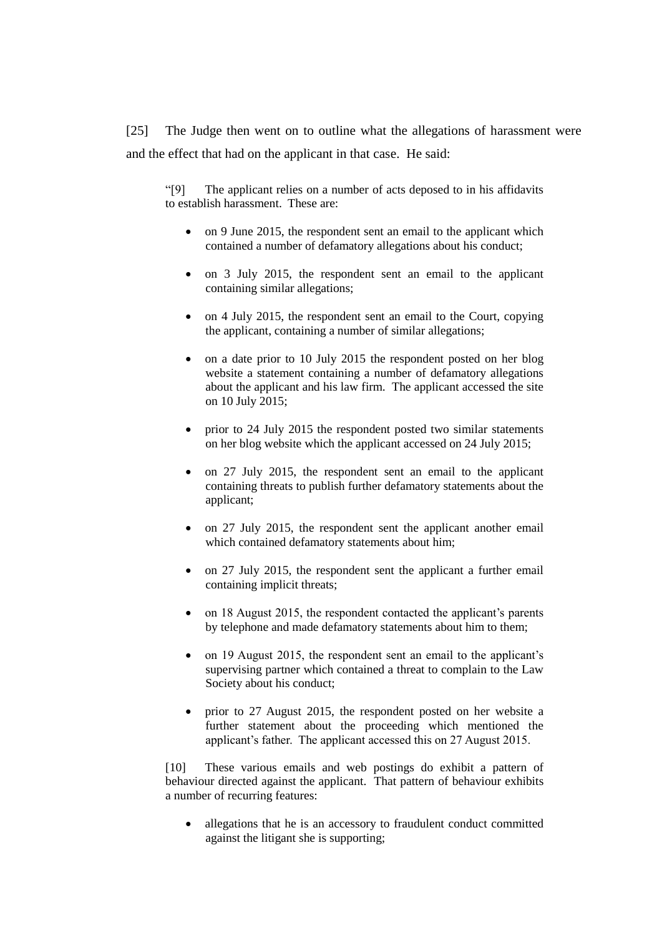[25] The Judge then went on to outline what the allegations of harassment were and the effect that had on the applicant in that case. He said:

"[9] The applicant relies on a number of acts deposed to in his affidavits to establish harassment. These are:

- on 9 June 2015, the respondent sent an email to the applicant which contained a number of defamatory allegations about his conduct;
- on 3 July 2015, the respondent sent an email to the applicant containing similar allegations;
- on 4 July 2015, the respondent sent an email to the Court, copying the applicant, containing a number of similar allegations;
- on a date prior to 10 July 2015 the respondent posted on her blog website a statement containing a number of defamatory allegations about the applicant and his law firm. The applicant accessed the site on 10 July 2015;
- prior to 24 July 2015 the respondent posted two similar statements on her blog website which the applicant accessed on 24 July 2015;
- on 27 July 2015, the respondent sent an email to the applicant containing threats to publish further defamatory statements about the applicant;
- on 27 July 2015, the respondent sent the applicant another email which contained defamatory statements about him;
- on 27 July 2015, the respondent sent the applicant a further email containing implicit threats;
- on 18 August 2015, the respondent contacted the applicant's parents by telephone and made defamatory statements about him to them;
- on 19 August 2015, the respondent sent an email to the applicant's supervising partner which contained a threat to complain to the Law Society about his conduct;
- prior to 27 August 2015, the respondent posted on her website a further statement about the proceeding which mentioned the applicant's father. The applicant accessed this on 27 August 2015.

[10] These various emails and web postings do exhibit a pattern of behaviour directed against the applicant. That pattern of behaviour exhibits a number of recurring features:

 allegations that he is an accessory to fraudulent conduct committed against the litigant she is supporting;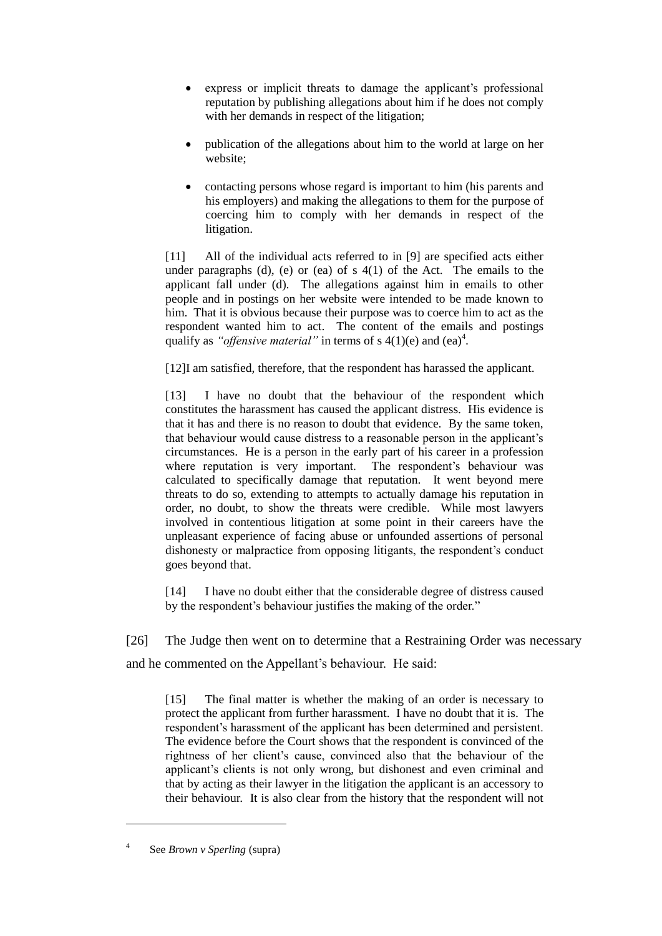- express or implicit threats to damage the applicant's professional reputation by publishing allegations about him if he does not comply with her demands in respect of the litigation;
- publication of the allegations about him to the world at large on her website;
- contacting persons whose regard is important to him (his parents and his employers) and making the allegations to them for the purpose of coercing him to comply with her demands in respect of the litigation.

[11] All of the individual acts referred to in [9] are specified acts either under paragraphs (d), (e) or (ea) of s  $4(1)$  of the Act. The emails to the applicant fall under (d). The allegations against him in emails to other people and in postings on her website were intended to be made known to him. That it is obvious because their purpose was to coerce him to act as the respondent wanted him to act. The content of the emails and postings qualify as *"offensive material*" in terms of  $s$  4(1)(e) and (ea)<sup>4</sup>.

[12]I am satisfied, therefore, that the respondent has harassed the applicant.

[13] I have no doubt that the behaviour of the respondent which constitutes the harassment has caused the applicant distress. His evidence is that it has and there is no reason to doubt that evidence. By the same token, that behaviour would cause distress to a reasonable person in the applicant's circumstances. He is a person in the early part of his career in a profession where reputation is very important. The respondent's behaviour was calculated to specifically damage that reputation. It went beyond mere threats to do so, extending to attempts to actually damage his reputation in order, no doubt, to show the threats were credible. While most lawyers involved in contentious litigation at some point in their careers have the unpleasant experience of facing abuse or unfounded assertions of personal dishonesty or malpractice from opposing litigants, the respondent's conduct goes beyond that.

[14] I have no doubt either that the considerable degree of distress caused by the respondent's behaviour justifies the making of the order."

[26] The Judge then went on to determine that a Restraining Order was necessary and he commented on the Appellant's behaviour. He said:

[15] The final matter is whether the making of an order is necessary to protect the applicant from further harassment. I have no doubt that it is. The respondent's harassment of the applicant has been determined and persistent. The evidence before the Court shows that the respondent is convinced of the rightness of her client's cause, convinced also that the behaviour of the applicant's clients is not only wrong, but dishonest and even criminal and that by acting as their lawyer in the litigation the applicant is an accessory to their behaviour. It is also clear from the history that the respondent will not

 $\overline{a}$ 

<sup>4</sup> See *Brown v Sperling* (supra)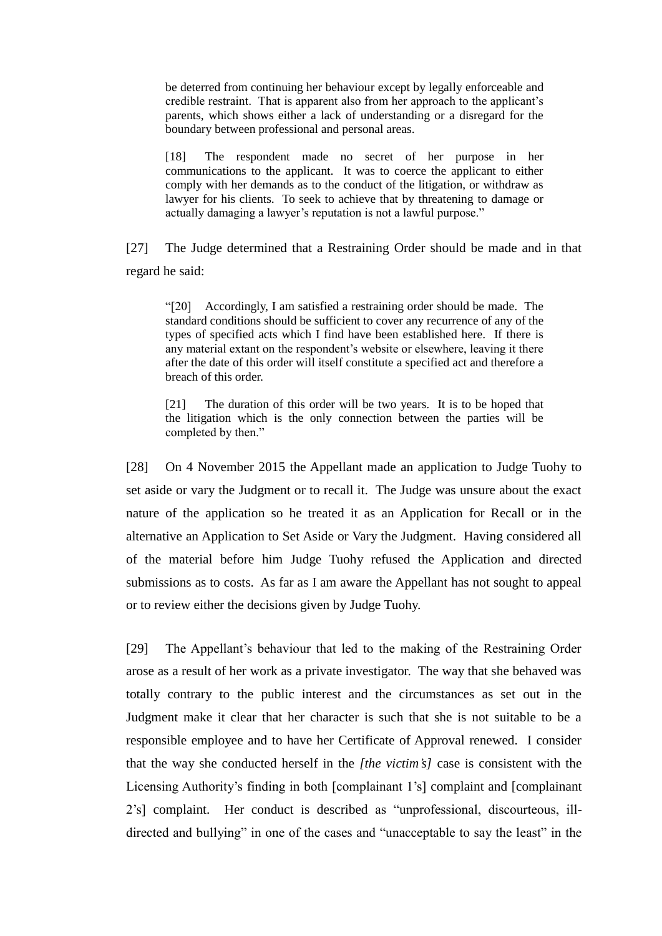be deterred from continuing her behaviour except by legally enforceable and credible restraint. That is apparent also from her approach to the applicant's parents, which shows either a lack of understanding or a disregard for the boundary between professional and personal areas.

[18] The respondent made no secret of her purpose in her communications to the applicant. It was to coerce the applicant to either comply with her demands as to the conduct of the litigation, or withdraw as lawyer for his clients. To seek to achieve that by threatening to damage or actually damaging a lawyer's reputation is not a lawful purpose."

[27] The Judge determined that a Restraining Order should be made and in that regard he said:

"[20] Accordingly, I am satisfied a restraining order should be made. The standard conditions should be sufficient to cover any recurrence of any of the types of specified acts which I find have been established here. If there is any material extant on the respondent's website or elsewhere, leaving it there after the date of this order will itself constitute a specified act and therefore a breach of this order.

[21] The duration of this order will be two years. It is to be hoped that the litigation which is the only connection between the parties will be completed by then."

[28] On 4 November 2015 the Appellant made an application to Judge Tuohy to set aside or vary the Judgment or to recall it. The Judge was unsure about the exact nature of the application so he treated it as an Application for Recall or in the alternative an Application to Set Aside or Vary the Judgment. Having considered all of the material before him Judge Tuohy refused the Application and directed submissions as to costs. As far as I am aware the Appellant has not sought to appeal or to review either the decisions given by Judge Tuohy.

[29] The Appellant's behaviour that led to the making of the Restraining Order arose as a result of her work as a private investigator. The way that she behaved was totally contrary to the public interest and the circumstances as set out in the Judgment make it clear that her character is such that she is not suitable to be a responsible employee and to have her Certificate of Approval renewed. I consider that the way she conducted herself in the *[the victim's]* case is consistent with the Licensing Authority's finding in both [complainant 1's] complaint and [complainant 2's] complaint. Her conduct is described as "unprofessional, discourteous, illdirected and bullying" in one of the cases and "unacceptable to say the least" in the